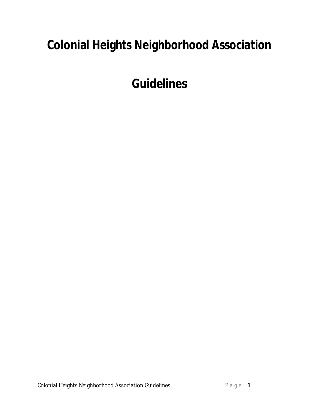# **Colonial Heights Neighborhood Association**

**Guidelines**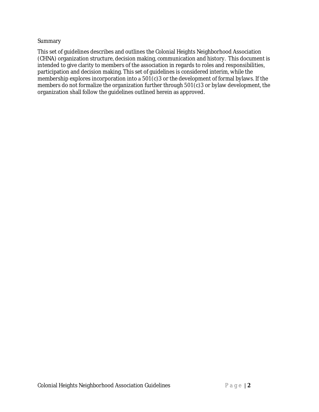#### **Summary**

This set of guidelines describes and outlines the Colonial Heights Neighborhood Association (CHNA) organization structure, decision making, communication and history. This document is intended to give clarity to members of the association in regards to roles and responsibilities, participation and decision making. This set of guidelines is considered interim, while the membership explores incorporation into a  $501(c)3$  or the development of formal bylaws. If the members do not formalize the organization further through 501(c)3 or bylaw development, the organization shall follow the guidelines outlined herein as approved.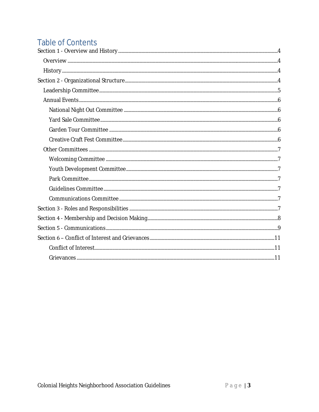# **Table of Contents**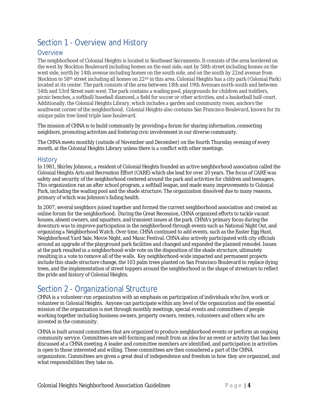# Section 1 - Overview and History

#### **Overview**

The neighborhood of Colonial Heights is located in Southeast Sacramento. It consists of the area bordered on the west by Stockton Boulevard including homes on the east side, east by 58th street including homes on the west side, north by 14th avenue including homes on the south side, and on the south by 22nd avenue from Stockton to 58<sup>th</sup> street including all homes on 22<sup>nd</sup> in this area. Colonial Heights has a city park (Colonial Park) located at its center. The park consists of the area between 18th and 19th Avenues north-south and between 54th and 53rd Street east-west. The park contains a wading pool, playgrounds for children and toddlers, picnic benches, a softball/baseball diamond, a field for soccer or other activities, and a basketball half-court. Additionally, the Colonial Heights Library, which includes a garden and community room, anchors the southwest corner of the neighborhood. Colonial Heights also contains San Francisco Boulevard, known for its unique palm tree lined triple lane boulevard. 

The mission of CHNA is to build community by providing a forum for sharing information, connecting neighbors, promoting activities and fostering civic involvement in our diverse community.

The CHNA meets monthly (outside of November and December) on the fourth Thursday evening of every month, at the Colonial Heights Library unless there is a conflict with other meetings.

#### **History**

In 1981, Shirley Johnson, a resident of Colonial Heights founded an active neighborhood association called the Colonial Heights Arts and Recreation Effort (CARE) which she lead for over 20 years. The focus of CARE was safety and security of the neighborhood centered around the park and activities for children and teenagers. This organization ran an after school program, a softball league, and made many improvements to Colonial Park, including the wading pool and the shade structure. The organization dissolved due to many reasons, primary of which was Johnson's failing health.

In 2007, several neighbors joined together and formed the current neighborhood association and created an online forum for the neighborhood. During the Great Recession, CHNA organized efforts to tackle vacant houses, absent owners, and squatters, and transient issues at the park. CHNA's primary focus during the downturn was to improve participation in the neighborhood through events such as National Night Out, and organizing a Neighborhood Watch. Over time, CHNA continued to add events, such as the Easter Egg Hunt, Neighborhood Yard Sale, Movie Night, and Music Festival. CHNA also actively participated with city officials around an upgrade of the playground park facilities and changed and expanded the planned remodel. Issues at the park resulted in a neighborhood-wide vote on the disposition of the shade structure, ultimately resulting in a vote to remove all of the walls. Key neighborhood-wide impacted and permanent projects include this shade structure change, the 103 palm trees planted on San Francisco Boulevard to replace dying trees, and the implementation of street toppers around the neighborhood in the shape of streetcars to reflect the pride and history of Colonial Heights.

# Section 2 - Organizational Structure

CHNA is a volunteer-run organization with an emphasis on participation of individuals who live, work or volunteer in Colonial Heights. Anyone can participate within any level of the organization and the essential mission of the organization is met through monthly meetings, special events and committees of people working together including business owners, property owners, renters, volunteers and others who are invested in the community. 

CHNA is built around committees that are organized to produce neighborhood events or perform an ongoing community service. Committees are self-forming and result from an idea for an event or activity that has been discussed at a CHNA meeting. A leader and committee members are identified, and participation in activities is open to those interested and willing. These committees are then considered a part of the CHNA organization. Committees are given a great deal of independence and freedom in how they are organized, and what responsibilities they take on.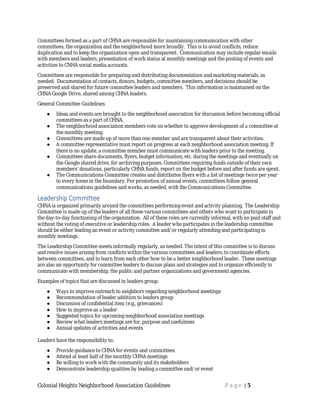Committees formed as a part of CHNA are responsible for maintaining communication with other committees, the organization and the neighborhood more broadly. This is to avoid conflicts, reduce duplication and to keep the organization open and transparent. Communication may include regular emails with members and leaders, presentation of work status at monthly meetings and the posting of events and activities to CNHA social media accounts. 

Committees are responsible for preparing and distributing documentation and marketing materials, as needed. Documentation of contacts, donors, budgets, committee members, and decisions should be preserved and shared for future committee leaders and members. This information is maintained on the CHNA Google Drive, shared among CHNA leaders. 

General Committee Guidelines

- Ideas and events are brought to the neighborhood association for discussion before becoming official committees as a part of CHNA.
- The neighborhood association members vote on whether to approve development of a committee at the monthly meeting.
- Committees are made up of more than one member and are transparent about their activities.
- A committee representative must report on progress at each neighborhood association meeting. If there is no update, a committee member must communicate with leaders prior to the meeting.
- Committees share documents, flyers, budget information, etc. during the meetings and eventually on the Google shared drive, for archiving purposes. Committees requiring funds outside of their own members' donations, particularly CHNA funds, report on the budget before and after funds are spent.
- The Communications Committee creates and distributes flyers with a list of meetings twice per year to every home in the boundary. For promotion of annual events, committees follow general communications guidelines and works, as needed, with the Communications Committee.

#### Leadership Committee

CHNA is organized primarily around the committees performing event and activity planning. The Leadership Committee is made up of the leaders of all these various committees and others who want to participate in the day-to-day functioning of the organization. All of these roles are currently informal, with no paid staff and without the voting of executive or leadership roles. A leader who participates in the leadership committee should be either leading an event or activity committee and/or regularly attending and participating in monthly meetings. 

The Leadership Committee meets informally regularly, as needed. The intent of this committee is to discuss and resolve issues arising from conflicts within the various committees and leaders, to coordinate efforts between committees, and to learn from each other how to be a better neighborhood leader. These meetings are also an opportunity for committee leaders to discuss plans and strategies and to organize efficiently to communicate with membership, the public and partner organizations and government agencies. 

Examples of topics that are discussed in leaders group: 

- Ways to improve outreach to neighbors regarding neighborhood meetings
- Recommendation of leader addition to leaders group
- Discussion of confidential item (e.g., grievances)
- How to improve as a leader
- Suggested topics for upcoming neighborhood association meetings
- Review what leaders meetings are for, purpose and usefulness
- Annual updates of activities and events

Leaders have the responsibility to:

- Provide guidance to CHNA for events and committees
- Attend at least half of the monthly CHNA meetings
- Be willing to work with the community and its stakeholders
- Demonstrate leadership qualities by leading a committee and/or event

**Colonial Heights Neighborhood Association Guidelines** Page 15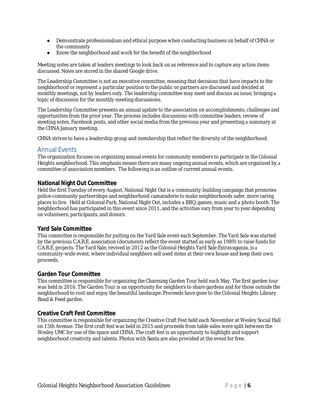- Demonstrate professionalism and ethical purpose when conducting business on behalf of CHNA or the community
- Know the neighborhood and work for the benefit of the neighborhood

Meeting notes are taken at leaders meetings to look back on as reference and to capture any action items discussed. Notes are stored in the shared Google drive.

The Leadership Committee is not an executive committee, meaning that decisions that have impacts to the neighborhood or represent a particular position to the public or partners are discussed and decided at monthly meetings, not by leaders only. The leadership committee may meet and discuss an issue, bringing a topic of discussion for the monthly meeting discussions. 

The Leadership Committee presents an annual update to the association on accomplishments, challenges and opportunities from the prior year. The process includes discussions with committee leaders, review of meeting notes, Facebook posts, and other social media from the previous year and presenting a summary at the CHNA January meeting. 

CHNA strives to have a leadership group and membership that reflect the diversity of the neighborhood.

#### Annual Events

The organization focuses on organizing annual events for community members to participate in the Colonial Heights neighborhood. This emphasis means there are many ongoing annual events, which are organized by a committee of association members. The following is an outline of current annual events.

#### **National Night Out Committee**

Held the first Tuesday of every August, National Night Out is a community-building campaign that promotes police-community partnerships and neighborhood camaraderie to make neighborhoods safer, more caring places to live. Held at Colonial Park, National Night Out, includes a BBQ, games, music and a photo booth. The neighborhood has participated in this event since 2011, and the activities vary from year to year depending on volunteers, participants, and donors. 

#### **Yard Sale Committee**

This committee is responsible for putting on the Yard Sale event each September. The Yard Sale was started by the previous C.A.R.E. association (documents reflect the event started as early as 1989) to raise funds for C.A.R.E. projects. The Yard Sale, revived in 2012 as the Colonial Heights Yard Sale Extravaganza, is a community-wide event, where individual neighbors sell used items at their own house and keep their own proceeds. 

#### **Garden Tour Committee**

This committee is responsible for organizing the Charming Garden Tour held each May. The first garden tour was held in 2016. The Garden Tour is an opportunity for neighbors to share gardens and for those outside the neighborhood to visit and enjoy the beautiful landscape. Proceeds have gone to the Colonial Heights Library Read & Feed garden.

#### **Creative Craft Fest Committee**

This committee is responsible for organizing the Creative Craft Fest held each November at Wesley Social Hall on 15th Avenue. The first craft fest was held in 2015 and proceeds from table sales were split between the Wesley UMC for use of the space and CHNA. The craft fest is an opportunity to highlight and support neighborhood creativity and talents. Photos with Santa are also provided at the event for free.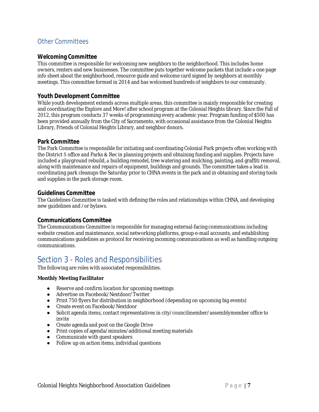#### Other Committees

#### **Welcoming Committee**

This committee is responsible for welcoming new neighbors to the neighborhood. This includes home owners, renters and new businesses. The committee puts together welcome packets that include a one page info sheet about the neighborhood, resource guide and welcome card signed by neighbors at monthly meetings. This committee formed in 2014 and has welcomed hundreds of neighbors to our community. 

#### **Youth Development Committee**

While youth development extends across multiple areas, this committee is mainly responsible for creating and coordinating the Explore and More! after school program at the Colonial Heights library. Since the Fall of 2012, this program conducts 37 weeks of programming every academic year. Program funding of \$500 has been provided annually from the City of Sacramento, with occasional assistance from the Colonial Heights Library, Friends of Colonial Heights Library, and neighbor donors.

#### **Park Committee**

The Park Committee is responsible for initiating and coordinating Colonial Park projects often working with the District 5 office and Parks & Rec in planning projects and obtaining funding and supplies. Projects have included a playground rebuild, a building remodel, tree watering and mulching, painting, and graffiti removal, along with maintenance and repairs of equipment, buildings and grounds. The committee takes a lead in coordinating park cleanups the Saturday prior to CHNA events in the park and in obtaining and storing tools and supplies in the park storage room. 

#### **Guidelines Committee**

The Guidelines Committee is tasked with defining the roles and relationships within CHNA, and developing new guidelines and /or bylaws. 

#### **Communications Committee**

The Communications Committee is responsible for managing external-facing communications including website creation and maintenance, social networking platforms, group e-mail accounts, and establishing communications guidelines as protocol for receiving incoming communications as well as handling outgoing communications. 

### Section 3 - Roles and Responsibilities

The following are roles with associated responsibilities. 

**Monthly Meeting Facilitator**

- Reserve and confirm location for upcoming meetings
- Advertise on Facebook/Nextdoor/Twitter
- Print 750 flyers for distribution in neighborhood (depending on upcoming big events)
- Create event on Facebook/Nextdoor
- Solicit agenda items, contact representatives in city/councilmember/assemblymember office to invite
- Create agenda and post on the Google Drive
- Print copies of agenda/minutes/additional meeting materials
- Communicate with quest speakers
- Follow up on action items, individual questions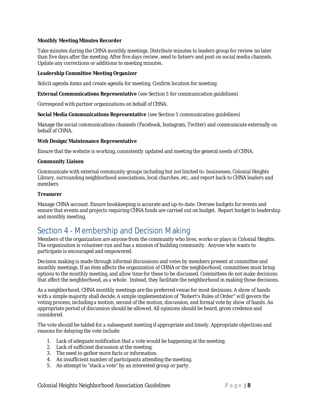**Monthly Meeting Minutes Recorder**

Take minutes during the CHNA monthly meetings. Distribute minutes to leaders group for review no later than five days after the meeting. After five days review, send to listserv and post on social media channels. Update any corrections or additions to meeting minutes. 

**Leadership Committee Meeting Organizer**

Solicit agenda items and create agenda for meeting. Confirm location for meeting.

**External Communications Representative** (see Section 5 for communication guidelines)

Correspond with partner organizations on behalf of CHNA.

**Social Media Communications Representative** (see Section 5 communication guidelines)

Manage the social communications channels (Facebook, Instagram, Twitter) and communicate externally on behalf of CHNA.

**Web Design/Maintenance Representative**

Ensure that the website is working, consistently updated and meeting the general needs of CHNA. 

**Community Liaison**

Communicate with external community groups including but not limited to: businesses, Colonial Heights Library, surrounding neighborhood associations, local churches, etc., and report back to CHNA leaders and members

#### **Treasurer**

Manage CHNA account. Ensure bookkeeping is accurate and up-to-date. Oversee budgets for events and ensure that events and projects requiring CHNA funds are carried out on budget. Report budget to leadership and monthly meeting.

### Section 4 - Membership and Decision Making

Members of the organization are anyone from the community who lives, works or plays in Colonial Heights. The organization is volunteer-run and has a mission of building community. Anyone who wants to participate is encouraged and empowered. 

Decision making is made through informal discussions and votes by members present at committee and monthly meetings. If an item affects the organization of CHNA or the neighborhood, committees must bring options to the monthly meeting, and allow time for these to be discussed. Committees do not make decisions that affect the neighborhood, as a whole. Instead, they facilitate the neighborhood in making those decisions.

As a neighborhood, CHNA monthly meetings are the preferred venue for most decisions. A show of hands with a simple majority shall decide. A simple implementation of "Robert's Rules of Order" will govern the voting process, including a motion, second of the motion, discussion, and formal vote by show of hands. An appropriate period of discussion should be allowed. All opinions should be heard, given credence and considered.

The vote should be tabled for a subsequent meeting if appropriate and timely. Appropriate objections and reasons for delaying the vote include: 

- 1. Lack of adequate notification that a vote would be happening at the meeting.
- 2. Lack of sufficient discussion at the meeting.
- 3. The need to gather more facts or information.
- 4. An insufficient number of participants attending the meeting.
- 5. An attempt to "stack a vote" by an interested group or party.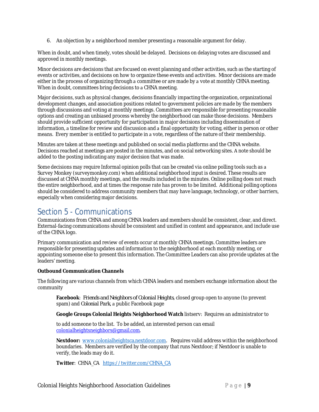6. An objection by a neighborhood member presenting a reasonable argument for delay.

When in doubt, and when timely, votes should be delayed. Decisions on delaying votes are discussed and approved in monthly meetings. 

Minor decisions are decisions that are focused on event planning and other activities, such as the starting of events or activities, and decisions on how to organize these events and activities. Minor decisions are made either in the process of organizing through a committee or are made by a vote at monthly CHNA meeting. When in doubt, committees bring decisions to a CHNA meeting.

Major decisions, such as physical changes, decisions financially impacting the organization, organizational development changes, and association positions related to government policies are made by the members through discussions and voting at monthly meetings. Committees are responsible for presenting reasonable options and creating an unbiased process whereby the neighborhood can make those decisions. Members should provide sufficient opportunity for participation in major decisions including dissemination of information, a timeline for review and discussion and a final opportunity for voting, either in person or other means. Every member is entitled to participate in a vote, regardless of the nature of their membership.

Minutes are taken at these meetings and published on social media platforms and the CHNA website. Decisions reached at meetings are posted in the minutes, and on social networking sites. A note should be added to the posting indicating any major decision that was made.

Some decisions may require Informal opinion polls that can be created via online polling tools such as a Survey Monkey (surveymonkey.com) when additional neighborhood input is desired. These results are discussed at CHNA monthly meetings, and the results included in the minutes. Online polling does not reach the entire neighborhood, and at times the response rate has proven to be limited. Additional polling options should be considered to address community members that may have language, technology, or other barriers, especially when considering major decisions.

## Section 5 - Communications

Communications from CHNA and among CHNA leaders and members should be consistent, clear, and direct. External-facing communications should be consistent and unified in content and appearance, and include use of the CHNA logo. 

Primary communication and review of events occur at monthly CHNA meetings. Committee leaders are responsible for presenting updates and information to the neighborhood at each monthly meeting, or appointing someone else to present this information. The Committee Leaders can also provide updates at the leaders' meeting. 

**Outbound Communication Channels** 

The following are various channels from which CHNA leaders and members exchange information about the community 

**Facebook**: *Friends and Neighbors of Colonial Heights*, closed group open to anyone (to prevent spam) and *Colonial Park*, a public Facebook page

**Google Groups Colonial Heights Neighborhood Watch** listserv: Requires an administrator to 

to add someone to the list. To be added, an interested person can email colonialheightsneighbors@gmail.com. 

Nextdoor: www.colonialheightsca.nextdoor.com. Requires valid address within the neighborhood boundaries. Members are verified by the company that runs Nextdoor; if Nextdoor is unable to verify, the leads may do it. 

Twitter: CHNA\_CA https://twitter.com/CHNA CA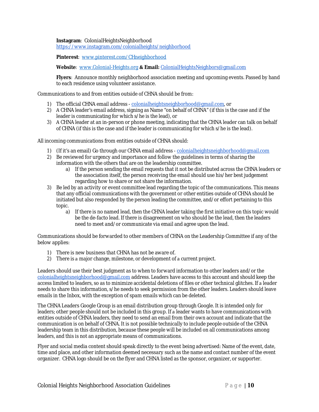**Instagram**: ColonialHeightsNeighborhood https://www.instagram.com/colonialheights/neighborhood 

Pinterest: www.pinterest.com/CHneighborhood

Website: www.Colonial-Heights.org & Email: ColonialHeightsNeighbors@gmail.com

Flyers: Announce monthly neighborhood association meeting and upcoming events. Passed by hand to each residence using volunteer assistance.

Communications to and from entities outside of CHNA should be from:

- 1) The official CHNA email address colonialheightsneighborhood@gmail.com, or
- 2) A CHNA leader's email address, signing as Name "on behalf of CHNA" (if this is the case and if the leader is communicating for which s/he is the lead), or
- 3) A CHNA leader at an in-person or phone meeting, indicating that the CHNA leader can talk on behalf of CHNA (if this is the case and if the leader is communicating for which s/he is the lead).

All incoming communications from entities outside of CHNA should:

- 1) (If it's an email) Go through our CHNA email address colonialheightsneighborhood@gmail.com
- 2) Be reviewed for urgency and importance and follow the guidelines in terms of sharing the information with the others that are on the leadership committee.
	- a) If the person sending the email requests that it not be distributed across the CHNA leaders or the association itself, the person receiving the email should use his/her best judgement regarding how to share or not share the information.
- 3) Be led by an activity or event committee lead regarding the topic of the communications. This means that any official communications with the government or other entities outside of CHNA should be initiated but also responded by the person leading the committee, and/or effort pertaining to this topic.
	- a) If there is no named lead, then the CHNA leader taking the first initiative on this topic would be the de-facto lead. If there is disagreement on who should be the lead, then the leaders need to meet and/or communicate via email and agree upon the lead.

Communications should be forwarded to other members of CHNA on the Leadership Committee if any of the below applies:

- 1) There is new business that CHNA has not be aware of.
- 2) There is a major change, milestone, or development of a current project.

Leaders should use their best judgment as to when to forward information to other leaders and/or the colonialheightsneighborhood@gmail.com address. Leaders have access to this account and should keep the access limited to leaders, so as to minimize accidental deletions of files or other technical glitches. If a leader needs to share this information, s/he needs to seek permission from the other leaders. Leaders should leave emails in the Inbox, with the exception of spam emails which can be deleted.

The CHNA Leaders Google Group is an email distribution group through Google. It is intended only for leaders; other people should not be included in this group. If a leader wants to have communications with entities outside of CHNA leaders, they need to send an email from their own account and indicate that the communication is on behalf of CHNA. It is not possible technically to include people outside of the CHNA leadership team in this distribution, because these people will be included on all communications among leaders, and this is not an appropriate means of communications. 

Flyer and social media content should speak directly to the event being advertised: Name of the event, date, time and place, and other information deemed necessary such as the name and contact number of the event organizer. CHNA logo should be on the flyer and CHNA listed as the sponsor, organizer, or supporter.